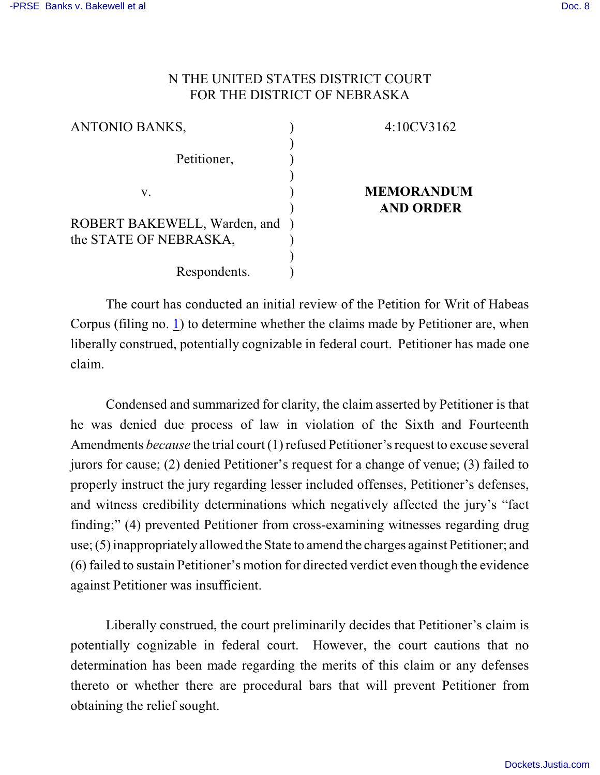## N THE UNITED STATES DISTRICT COURT FOR THE DISTRICT OF NEBRASKA

| <b>ANTONIO BANKS,</b>          | 4:10CV3162        |
|--------------------------------|-------------------|
| Petitioner,                    |                   |
| V.                             | <b>MEMORANDUM</b> |
|                                | <b>AND ORDER</b>  |
| ROBERT BAKEWELL, Warden, and ) |                   |
| the STATE OF NEBRASKA,         |                   |
|                                |                   |
| Respondents.                   |                   |

The court has conducted an initial review of the Petition for Writ of Habeas Corpus (filing no. [1](http://ecf.ned.uscourts.gov/doc1/11302085452)) to determine whether the claims made by Petitioner are, when liberally construed, potentially cognizable in federal court. Petitioner has made one claim.

Condensed and summarized for clarity, the claim asserted by Petitioner is that he was denied due process of law in violation of the Sixth and Fourteenth Amendments *because* the trial court (1) refused Petitioner's request to excuse several jurors for cause; (2) denied Petitioner's request for a change of venue; (3) failed to properly instruct the jury regarding lesser included offenses, Petitioner's defenses, and witness credibility determinations which negatively affected the jury's "fact finding;" (4) prevented Petitioner from cross-examining witnesses regarding drug use; (5) inappropriately allowed the State to amend the charges against Petitioner; and (6) failed to sustain Petitioner's motion for directed verdict even though the evidence against Petitioner was insufficient.

Liberally construed, the court preliminarily decides that Petitioner's claim is potentially cognizable in federal court. However, the court cautions that no determination has been made regarding the merits of this claim or any defenses thereto or whether there are procedural bars that will prevent Petitioner from obtaining the relief sought.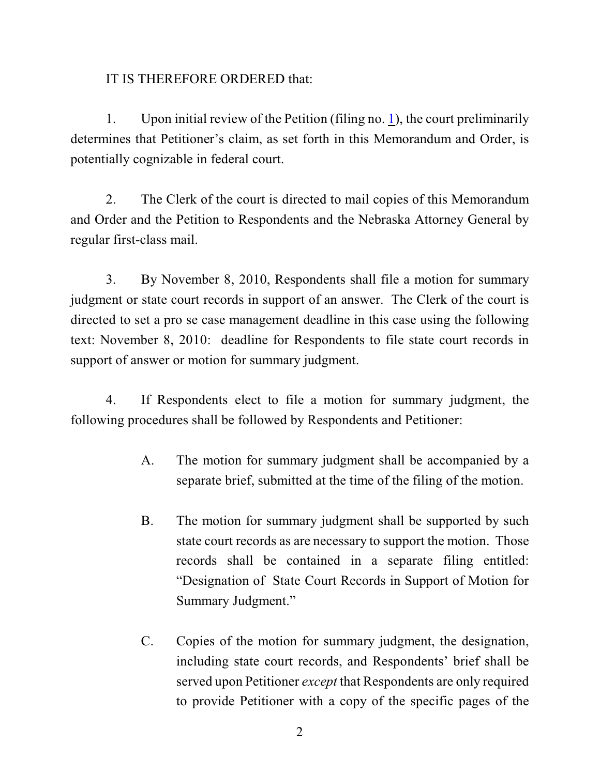## IT IS THEREFORE ORDERED that:

1. Upon initial review of the Petition (filing no. [1](http://ecf.ned.uscourts.gov/doc1/11302085452)), the court preliminarily determines that Petitioner's claim, as set forth in this Memorandum and Order, is potentially cognizable in federal court.

2. The Clerk of the court is directed to mail copies of this Memorandum and Order and the Petition to Respondents and the Nebraska Attorney General by regular first-class mail.

3. By November 8, 2010, Respondents shall file a motion for summary judgment or state court records in support of an answer. The Clerk of the court is directed to set a pro se case management deadline in this case using the following text: November 8, 2010: deadline for Respondents to file state court records in support of answer or motion for summary judgment.

4. If Respondents elect to file a motion for summary judgment, the following procedures shall be followed by Respondents and Petitioner:

- A. The motion for summary judgment shall be accompanied by a separate brief, submitted at the time of the filing of the motion.
- B. The motion for summary judgment shall be supported by such state court records as are necessary to support the motion. Those records shall be contained in a separate filing entitled: "Designation of State Court Records in Support of Motion for Summary Judgment."
- C. Copies of the motion for summary judgment, the designation, including state court records, and Respondents' brief shall be served upon Petitioner *except* that Respondents are only required to provide Petitioner with a copy of the specific pages of the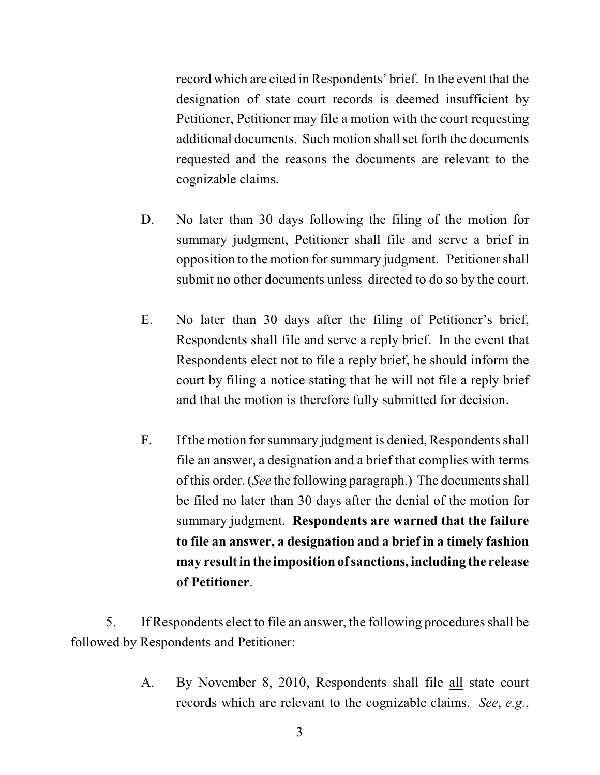record which are cited in Respondents' brief. In the event that the designation of state court records is deemed insufficient by Petitioner, Petitioner may file a motion with the court requesting additional documents. Such motion shall set forth the documents requested and the reasons the documents are relevant to the cognizable claims.

- D. No later than 30 days following the filing of the motion for summary judgment, Petitioner shall file and serve a brief in opposition to the motion for summary judgment. Petitioner shall submit no other documents unless directed to do so by the court.
- E. No later than 30 days after the filing of Petitioner's brief, Respondents shall file and serve a reply brief. In the event that Respondents elect not to file a reply brief, he should inform the court by filing a notice stating that he will not file a reply brief and that the motion is therefore fully submitted for decision.
- F. If the motion for summary judgment is denied, Respondents shall file an answer, a designation and a brief that complies with terms of this order. (*See* the following paragraph.) The documents shall be filed no later than 30 days after the denial of the motion for summary judgment. **Respondents are warned that the failure to file an answer, a designation and a brief in a timely fashion may result in the imposition of sanctions, including the release of Petitioner**.

5. If Respondents elect to file an answer, the following procedures shall be followed by Respondents and Petitioner:

> A. By November 8, 2010, Respondents shall file all state court records which are relevant to the cognizable claims. *See*, *e.g.*,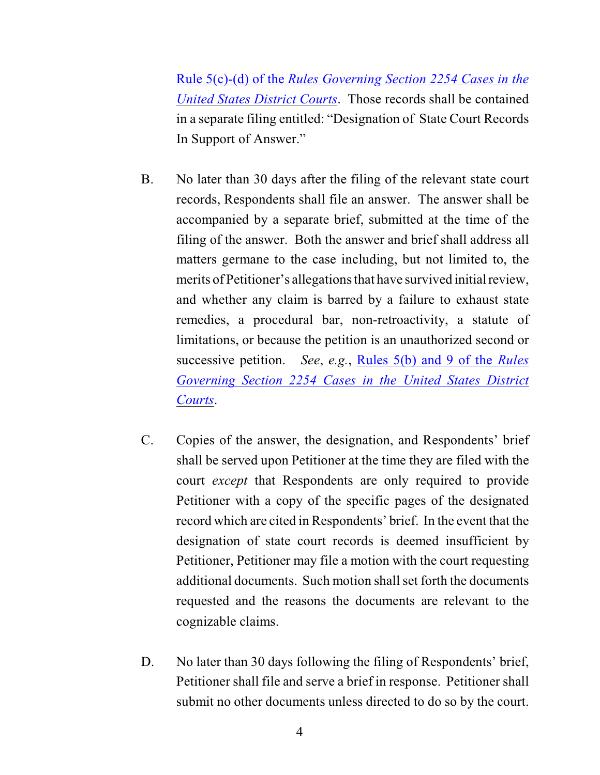Rule 5(c)-(d) of the *Rules Governing [Section 2254 Cases in the](http://web2.westlaw.com/result/default.wl?tf=0&fn=_top&scxt=WL&crbp=0&mt=Westlaw&rs=WLW9.08&cite=SECT+Section+2254&jrtadvtype=0&cfid=1&action=DODIS&rpst=None&cxt=DC&vr=2.0&disrelpos=4&candisnum=1&sv=Split&cnt=DOC&disnav=NEXT&ss=CNT&service=Find&rlt=CLID_) [United States District Courts](http://web2.westlaw.com/result/default.wl?tf=0&fn=_top&scxt=WL&crbp=0&mt=Westlaw&rs=WLW9.08&cite=SECT+Section+2254&jrtadvtype=0&cfid=1&action=DODIS&rpst=None&cxt=DC&vr=2.0&disrelpos=4&candisnum=1&sv=Split&cnt=DOC&disnav=NEXT&ss=CNT&service=Find&rlt=CLID_)*. Those records shall be contained in a separate filing entitled: "Designation of State Court Records In Support of Answer."

- B. No later than 30 days after the filing of the relevant state court records, Respondents shall file an answer. The answer shall be accompanied by a separate brief, submitted at the time of the filing of the answer. Both the answer and brief shall address all matters germane to the case including, but not limited to, the merits of Petitioner's allegations that have survived initial review, and whether any claim is barred by a failure to exhaust state remedies, a procedural bar, non-retroactivity, a statute of limitations, or because the petition is an unauthorized second or successive petition. *See*, *e.g.*, [Rules 5\(b\)](http://web2.westlaw.com/result/default.wl?tf=0&fn=_top&scxt=WL&crbp=0&mt=Westlaw&rs=WLW9.08&cite=SECT+Section+2254&jrtadvtype=0&cfid=1&action=DODIS&rpst=None&cxt=DC&vr=2.0&disrelpos=4&candisnum=1&sv=Split&cnt=DOC&disnav=NEXT&ss=CNT&service=Find&rlt=CLID_) and 9 of the *Rules [Governing Section 2254 Cases in the United States District](http://web2.westlaw.com/result/default.wl?tf=0&fn=_top&scxt=WL&crbp=0&mt=Westlaw&rs=WLW9.08&cite=SECT+Section+2254&jrtadvtype=0&cfid=1&action=DODIS&rpst=None&cxt=DC&vr=2.0&disrelpos=4&candisnum=1&sv=Split&cnt=DOC&disnav=NEXT&ss=CNT&service=Find&rlt=CLID_) [Courts](http://web2.westlaw.com/result/default.wl?tf=0&fn=_top&scxt=WL&crbp=0&mt=Westlaw&rs=WLW9.08&cite=SECT+Section+2254&jrtadvtype=0&cfid=1&action=DODIS&rpst=None&cxt=DC&vr=2.0&disrelpos=4&candisnum=1&sv=Split&cnt=DOC&disnav=NEXT&ss=CNT&service=Find&rlt=CLID_)*.
- C. Copies of the answer, the designation, and Respondents' brief shall be served upon Petitioner at the time they are filed with the court *except* that Respondents are only required to provide Petitioner with a copy of the specific pages of the designated record which are cited in Respondents' brief. In the event that the designation of state court records is deemed insufficient by Petitioner, Petitioner may file a motion with the court requesting additional documents. Such motion shall set forth the documents requested and the reasons the documents are relevant to the cognizable claims.
- D. No later than 30 days following the filing of Respondents' brief, Petitioner shall file and serve a brief in response. Petitioner shall submit no other documents unless directed to do so by the court.